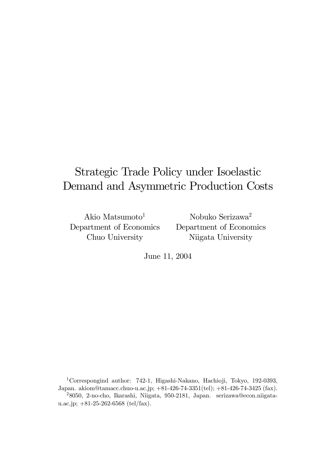# Strategic Trade Policy under Isoelastic Demand and Asymmetric Production Costs

Akio Matsumoto<sup>1</sup> Department of Economics Chuo University

Nobuko Serizawa2 Department of Economics Niigata University

June 11, 2004

1Correspongind author: 742-1, Higashi-Nakano, Hachioji, Tokyo, 192-0393, Japan. akiom@tamacc.chuo-u.ac.jp; +81-426-74-3351(tel); +81-426-74-3425 (fax). <sup>2</sup>8050, 2-no-cho, Ikarashi, Niigata, 950-2181, Japan. serizawa@econ.niigata-

u.ac.jp; +81-25-262-6568 (tel/fax).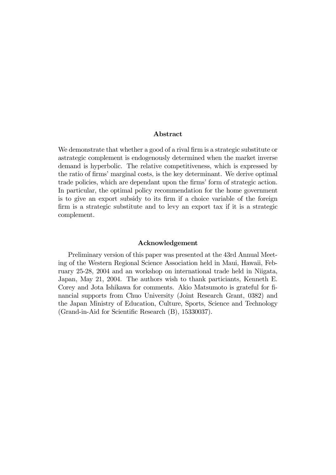#### Abstract

We demonstrate that whether a good of a rival firm is a strategic substitute or astrategic complement is endogenously determined when the market inverse demand is hyperbolic. The relative competitiveness, which is expressed by the ratio of firms' marginal costs, is the key determinant. We derive optimal trade policies, which are dependant upon the firms' form of strategic action. In particular, the optimal policy recommendation for the home government is to give an export subsidy to its firm if a choice variable of the foreign firm is a strategic substitute and to levy an export tax if it is a strategic complement.

#### Acknowledgement

Preliminary version of this paper was presented at the 43rd Annual Meeting of the Western Regional Science Association held in Maui, Hawaii, February 25-28, 2004 and an workshop on international trade held in Niigata, Japan, May 21, 2004. The authors wish to thank particiants, Kenneth E. Corey and Jota Ishikawa for comments. Akio Matsumoto is grateful for financial supports from Chuo University (Joint Research Grant, 0382) and the Japan Ministry of Education, Culture, Sports, Science and Technology (Grand-in-Aid for Scientific Research (B), 15330037).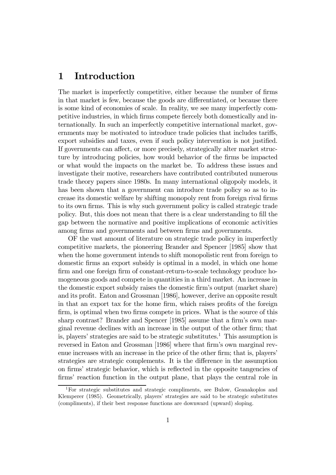### 1 Introduction

The market is imperfectly competitive, either because the number of firms in that market is few, because the goods are differentiated, or because there is some kind of economies of scale. In reality, we see many imperfectly competitive industries, in which firms compete fiercely both domestically and internationally. In such an imperfectly competitive international market, governments may be motivated to introduce trade policies that includes tariffs, export subsidies and taxes, even if such policy intervention is not justified. If governments can affect, or more precisely, strategically alter market structure by introducing policies, how would behavior of the firms be impacted or what would the impacts on the market be. To address these issues and investigate their motive, researchers have contributed contributed numerous trade theory papers since 1980s. In many international oligopoly models, it has been shown that a government can introduce trade policy so as to increase its domestic welfare by shifting monopoly rent from foreign rival firms to its own firms. This is why such government policy is called strategic trade policy. But, this does not mean that there is a clear understanding to fill the gap between the normative and positive implications of economic activities among firms and governments and between firms and governments.

OF the vast amount of literature on strategic trade policy in imperfectly competitive markets, the pioneering Brander and Spencer [1985] show that when the home government intends to shift monopolistic rent from foreign to domestic firms an export subsidy is optimal in a model, in which one home firm and one foreign firm of constant-return-to-scale technology produce homogeneous goods and compete in quantities in a third market. An increase in the domestic export subsidy raises the domestic firm's output (market share) and its profit. Eaton and Grossman [1986], however, derive an opposite result in that an export tax for the home firm, which raises profits of the foreign firm, is optimal when two firms compete in prices. What is the source of this sharp contrast? Brander and Spencer [1985] assume that a firm's own marginal revenue declines with an increase in the output of the other firm; that is, players' strategies are said to be strategic substitutes.1 This assumption is reversed in Eaton and Grossman [1986] where that firm's own marginal revenue increases with an increase in the price of the other firm; that is, players' strategies are strategic complements. It is the difference in the assumption on firms' strategic behavior, which is reflected in the opposite tangencies of firms' reaction function in the output plane, that plays the central role in

<sup>1</sup>For strategic substitutes and strategic compliments, see Bulow, Geanakoplos and Klemperer (1985). Geometrically, players' strategies are said to be strategic substitutes (compliments), if their best response functions are downward (upward) sloping.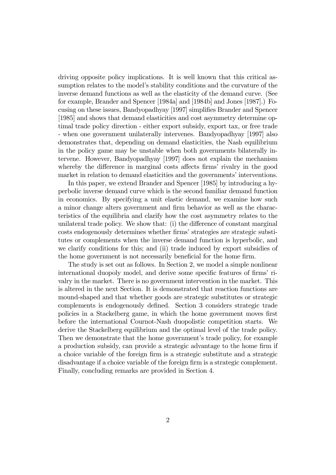driving opposite policy implications. It is well known that this critical assumption relates to the model's stability conditions and the curvature of the inverse demand functions as well as the elasticity of the demand curve. (See for example, Brander and Spencer [1984a] and [1984b] and Jones [1987].) Focusing on these issues, Bandyopadhyay [1997] simplifies Brander and Spencer [1985] and shows that demand elasticities and cost asymmetry determine optimal trade policy direction - either export subsidy, export tax, or free trade - when one government unilaterally intervenes. Bandyopadhyay [1997] also demonstrates that, depending on demand elasticities, the Nash equilibrium in the policy game may be unstable when both governments bilaterally intervene. However, Bandyopadhyay [1997] does not explain the mechanism whereby the difference in marginal costs affects firms' rivalry in the good market in relation to demand elasticities and the governments' interventions.

In this paper, we extend Brander and Spencer [1985] by introducing a hyperbolic inverse demand curve which is the second familiar demand function in economics. By specifying a unit elastic demand, we examine how such a minor change alters government and firm behavior as well as the characteristics of the equilibria and clarify how the cost asymmetry relates to the unilateral trade policy. We show that: (i) the difference of constant marginal costs endogenously determines whether firms' strategies are strategic substitutes or complements when the inverse demand function is hyperbolic, and we clarify conditions for this; and (ii) trade induced by export subsidies of the home government is not necessarily beneficial for the home firm.

The study is set out as follows. In Section 2, we model a simple nonlinear international duopoly model, and derive some specific features of firms' rivalry in the market. There is no government intervention in the market. This is altered in the next Section. It is demonstrated that reaction functions are mound-shaped and that whether goods are strategic substitutes or strategic complements is endogenously defined. Section 3 considers strategic trade policies in a Stackelberg game, in which the home government moves first before the international Cournot-Nash duopolistic competition starts. We derive the Stackelberg equilibrium and the optimal level of the trade policy. Then we demonstrate that the home government's trade policy, for example a production subsidy, can provide a strategic advantage to the home firm if a choice variable of the foreign firm is a strategic substitute and a strategic disadvantage if a choice variable of the foreign firm is a strategic complement. Finally, concluding remarks are provided in Section 4.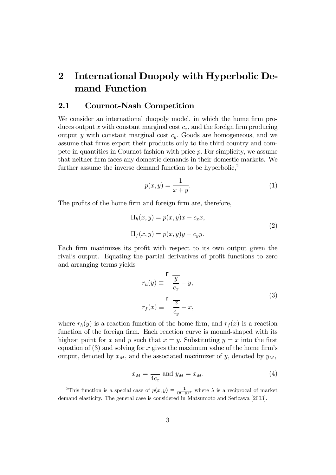# 2 International Duopoly with Hyperbolic Demand Function

### 2.1 Cournot-Nash Competition

We consider an international duopoly model, in which the home firm produces output x with constant marginal cost  $c_x$ , and the foreign firm producing output y with constant marginal cost  $c_y$ . Goods are homogeneous, and we assume that firms export their products only to the third country and compete in quantities in Cournot fashion with price  $p$ . For simplicity, we assume that neither firm faces any domestic demands in their domestic markets. We further assume the inverse demand function to be hyperbolic, $2$ 

$$
p(x,y) = \frac{1}{x+y}.\tag{1}
$$

The profits of the home firm and foreign firm are, therefore,

$$
\Pi_h(x, y) = p(x, y)x - c_x x,
$$
  
\n
$$
\Pi_f(x, y) = p(x, y)y - c_y y.
$$
\n(2)

Each firm maximizes its profit with respect to its own output given the rival's output. Equating the partial derivatives of profit functions to zero and arranging terms yields

$$
r_h(y) \equiv \frac{\Gamma}{\frac{y}{c_x}} - y,
$$
  

$$
r_f(x) \equiv \frac{\Gamma}{\frac{x}{c_y}} - x,
$$
 (3)

where  $r_h(y)$  is a reaction function of the home firm, and  $r_f(x)$  is a reaction function of the foreign firm. Each reaction curve is mound-shaped with its highest point for x and y such that  $x = y$ . Substituting  $y = x$  into the first equation of  $(3)$  and solving for x gives the maximum value of the home firm's output, denoted by  $x_M$ , and the associated maximizer of y, denoted by  $y_M$ ,

$$
x_M = \frac{1}{4c_x} \text{ and } y_M = x_M. \tag{4}
$$

<sup>&</sup>lt;sup>2</sup>This function is a special case of  $p(x, y) = \frac{1}{(x+y)^{\lambda}}$  where  $\lambda$  is a reciprocal of market demand elasticity. The general case is considered in Matsumoto and Serizawa [2003].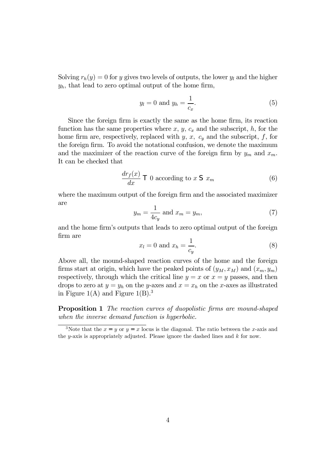Solving  $r_h(y)=0$  for y gives two levels of outputs, the lower  $y_l$  and the higher  $y_h$ , that lead to zero optimal output of the home firm,

$$
y_l = 0 \text{ and } y_h = \frac{1}{c_x}.\tag{5}
$$

Since the foreign firm is exactly the same as the home firm, its reaction function has the same properties where  $x, y, c_x$  and the subscript,  $h$ , for the home firm are, respectively, replaced with  $y, x, c_y$  and the subscript, f, for the foreign firm. To avoid the notational confusion, we denote the maximum and the maximizer of the reaction curve of the foreign firm by  $y_m$  and  $x_m$ . It can be checked that

$$
\frac{dr_f(x)}{dx} \mathsf{T} \mathbf{0} \text{ according to } x \mathsf{S} x_m \tag{6}
$$

where the maximum output of the foreign firm and the associated maximizer are

$$
y_m = \frac{1}{4c_y} \text{ and } x_m = y_m,\tag{7}
$$

and the home firm's outputs that leads to zero optimal output of the foreign firm are

$$
x_l = 0 \text{ and } x_h = \frac{1}{c_y}.\tag{8}
$$

Above all, the mound-shaped reaction curves of the home and the foreign firms start at origin, which have the peaked points of  $(y_M, x_M)$  and  $(x_m, y_m)$ respectively, through which the critical line  $y = x$  or  $x = y$  passes, and then drops to zero at  $y = y_h$  on the y-axes and  $x = x_h$  on the x-axes as illustrated in Figure 1(A) and Figure  $1(B)$ .<sup>3</sup>

Proposition 1 The reaction curves of duopolistic firms are mound-shaped when the inverse demand function is hyperbolic.

<sup>&</sup>lt;sup>3</sup>Note that the  $x = y$  or  $y = x$  locus is the diagonal. The ratio between the x-axis and the y-axis is appropriately adjusted. Please ignore the dashed lines and  $k$  for now.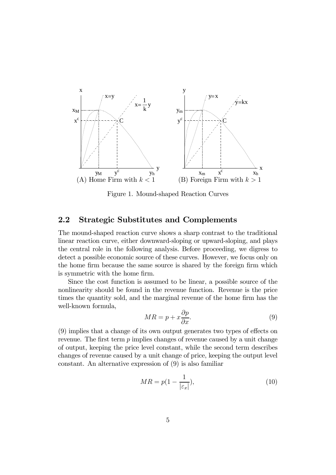

Figure 1. Mound-shaped Reaction Curves

### 2.2 Strategic Substitutes and Complements

The mound-shaped reaction curve shows a sharp contrast to the traditional linear reaction curve, either downward-sloping or upward-sloping, and plays the central role in the following analysis. Before proceeding, we digress to detect a possible economic source of these curves. However, we focus only on the home firm because the same source is shared by the foreign firm which is symmetric with the home firm.

Since the cost function is assumed to be linear, a possible source of the nonlinearity should be found in the revenue function. Revenue is the price times the quantity sold, and the marginal revenue of the home firm has the well-known formula,

$$
MR = p + x\frac{\partial p}{\partial x}.\tag{9}
$$

(9) implies that a change of its own output generates two types of effects on revenue. The first term  $p$  implies changes of revenue caused by a unit change of output, keeping the price level constant, while the second term describes changes of revenue caused by a unit change of price, keeping the output level constant. An alternative expression of (9) is also familiar

$$
MR = p(1 - \frac{1}{|\varepsilon_x|}),\tag{10}
$$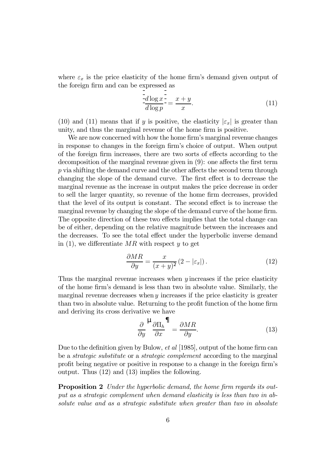where  $\varepsilon_x$  is the price elasticity of the home firm's demand given output of the foreign firm and can be expressed as

$$
\frac{\frac{1}{2}d\log x}{d\log p} = \frac{x+y}{x}.\tag{11}
$$

(10) and (11) means that if y is positive, the elasticity  $|\varepsilon_x|$  is greater than unity, and thus the marginal revenue of the home firm is positive.

We are now concerned with how the home firm's marginal revenue changes in response to changes in the foreign firm's choice of output. When output of the foreign firm increases, there are two sorts of effects according to the decomposition of the marginal revenue given in (9): one affects the first term p via shifting the demand curve and the other affects the second term through changing the slope of the demand curve. The first effect is to decrease the marginal revenue as the increase in output makes the price decrease in order to sell the larger quantity, so revenue of the home firm decreases, provided that the level of its output is constant. The second effect is to increase the marginal revenue by changing the slope of the demand curve of the home firm. The opposite direction of these two effects implies that the total change can be of either, depending on the relative magnitude between the increases and the decreases. To see the total effect under the hyperbolic inverse demand in  $(1)$ , we differentiate MR with respect y to get

$$
\frac{\partial MR}{\partial y} = \frac{x}{(x+y)^2} \left(2 - |\varepsilon_x|\right). \tag{12}
$$

Thus the marginal revenue increases when  $y$  increases if the price elasticity of the home firm's demand is less than two in absolute value. Similarly, the marginal revenue decreases when  $y$  increases if the price elasticity is greater than two in absolute value. Returning to the profit function of the home firm and deriving its cross derivative we have

$$
\frac{\partial}{\partial y} \frac{\mu}{\partial x} \frac{\partial \Pi_h}{\partial x} = \frac{\partial MR}{\partial y}.
$$
\n(13)

Due to the definition given by Bulow, et al [1985], output of the home firm can be a strategic substitute or a strategic complement according to the marginal profit being negative or positive in response to a change in the foreign firm's output. Thus (12) and (13) implies the following.

**Proposition 2** Under the hyperbolic demand, the home firm regards its output as a strategic complement when demand elasticity is less than two in absolute value and as a strategic substitute when greater than two in absolute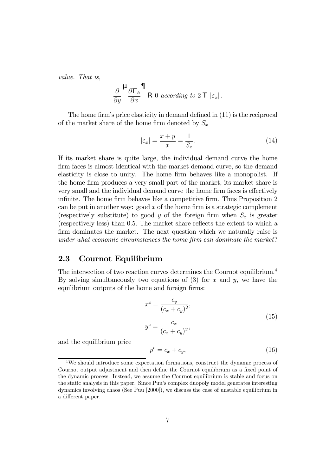value. That is,

$$
\frac{\partial}{\partial y} \frac{\mu}{\partial x} \frac{\partial \Pi_h}{\partial x} \bigcap \text{R 0 according to } 2 \top |\varepsilon_x|.
$$

The home firm's price elasticity in demand defined in (11) is the reciprocal of the market share of the home firm denoted by  $S_x$ 

$$
|\varepsilon_x| = \frac{x+y}{x} = \frac{1}{S_x}.\tag{14}
$$

If its market share is quite large, the individual demand curve the home firm faces is almost identical with the market demand curve, so the demand elasticity is close to unity. The home firm behaves like a monopolist. If the home firm produces a very small part of the market, its market share is very small and the individual demand curve the home firm faces is effectively infinite. The home firm behaves like a competitive firm. Thus Proposition 2 can be put in another way: good  $x$  of the home firm is a strategic complement (respectively substitute) to good y of the foreign firm when  $S_x$  is greater (respectively less) than 0.5. The market share reflects the extent to which a firm dominates the market. The next question which we naturally raise is under what economic circumstances the home firm can dominate the market?

### 2.3 Cournot Equilibrium

The intersection of two reaction curves determines the Cournot equilibrium.4 By solving simultaneously two equations of  $(3)$  for x and y, we have the equilibrium outputs of the home and foreign firms:

$$
x^{c} = \frac{c_{y}}{(c_{x} + c_{y})^{2}},
$$
  

$$
y^{c} = \frac{c_{x}}{(c_{x} + c_{y})^{2}},
$$
\n(15)

and the equilibrium price

$$
p^c = c_x + c_y,\tag{16}
$$

<sup>4</sup>We should introduce some expectation formations, construct the dynamic process of Cournot output adjustment and then define the Cournot equilibrium as a fixed point of the dynamic process. Instead, we assume the Cournot equilibrium is stable and focus on the static analysis in this paper. Since Puu's complex duopoly model generates interesting dynamics involving chaos (See Puu [2000]), we discuss the case of unstable equilibrium in a different paper.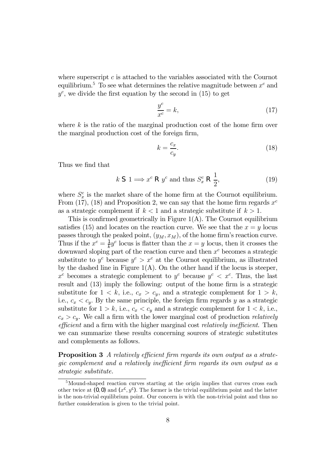where superscript  $c$  is attached to the variables associated with the Cournot equilibrium.<sup>5</sup> To see what determines the relative magnitude between  $x^c$  and  $y^c$ , we divide the first equation by the second in (15) to get

$$
\frac{y^c}{x^c} = k,\tag{17}
$$

where  $k$  is the ratio of the marginal production cost of the home firm over the marginal production cost of the foreign firm,

$$
k = \frac{c_x}{c_y}.\tag{18}
$$

Thus we find that

$$
k \text{ S } 1 \Longrightarrow x^c \text{ R } y^c \text{ and thus } S_x^c \text{ R } \frac{1}{2}, \tag{19}
$$

where  $S_x^c$  is the market share of the home firm at the Cournot equilibrium. From (17), (18) and Proposition 2, we can say that the home firm regards  $x^c$ as a strategic complement if  $k < 1$  and a strategic substitute if  $k > 1$ .

This is confirmed geometrically in Figure  $1(A)$ . The Cournot equilibrium satisfies (15) and locates on the reaction curve. We see that the  $x = y$  locus passes through the peaked point,  $(y_M, x_M)$ , of the home firm's reaction curve. Thus if the  $x^c = \frac{1}{k}y^c$  locus is flatter than the  $x = y$  locus, then it crosses the downward sloping part of the reaction curve and then  $x^c$  becomes a strategic substitute to  $y^c$  because  $y^c > x^c$  at the Cournot equilibrium, as illustrated by the dashed line in Figure  $1(A)$ . On the other hand if the locus is steeper,  $x^c$  becomes a strategic complement to  $y^c$  because  $y^c < x^c$ . Thus, the last result and (13) imply the following: output of the home firm is a strategic substitute for  $1 < k$ , i.e.,  $c_x > c_y$ , and a strategic complement for  $1 > k$ , i.e.,  $c_x < c_y$ . By the same principle, the foreign firm regards y as a strategic substitute for  $1 > k$ , i.e.,  $c_x < c_y$  and a strategic complement for  $1 < k$ , i.e.,  $c_x > c_y$ . We call a firm with the lower marginal cost of production *relatively* efficient and a firm with the higher marginal cost relatively inefficient. Then we can summarize these results concerning sources of strategic substitutes and complements as follows.

Proposition 3 A relatively efficient firm regards its own output as a strategic complement and a relatively inefficient firm regards its own output as a strategic substitute.

<sup>&</sup>lt;sup>5</sup>Mound-shaped reaction curves starting at the origin implies that curves cross each other twice at  $(0, 0)$  and  $(x^c, y^c)$ . The former is the trivial equilibrium point and the latter is the non-trivial equilibrium point. Our concern is with the non-trivial point and thus no further consideration is given to the trivial point.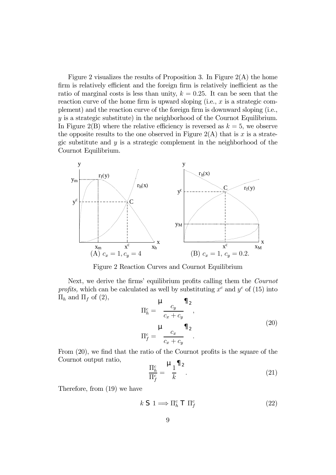Figure 2 visualizes the results of Proposition 3. In Figure  $2(A)$  the home firm is relatively efficient and the foreign firm is relatively inefficient as the ratio of marginal costs is less than unity,  $k = 0.25$ . It can be seen that the reaction curve of the home firm is upward sloping (i.e.,  $x$  is a strategic complement) and the reaction curve of the foreign firm is downward sloping (i.e.,  $y$  is a strategic substitute) in the neighborhood of the Cournot Equilibrium. In Figure 2(B) where the relative efficiency is reversed as  $k = 5$ , we observe the opposite results to the one observed in Figure  $2(A)$  that is x is a strategic substitute and  $y$  is a strategic complement in the neighborhood of the Cournot Equilibrium.



Figure 2 Reaction Curves and Cournot Equilibrium

Next, we derive the firms' equilibrium profits calling them the Cournot profits, which can be calculated as well by substituting  $x^c$  and  $y^c$  of (15) into  $\Pi_h$  and  $\Pi_f$  of (2),

$$
\Pi_h^c = \frac{\mu}{c_x + c_y},
$$
\n
$$
\Pi_f^c = \frac{\mu}{c_x + c_y} \Pi_2
$$
\n
$$
\Pi_f^c = \frac{c_x}{c_x + c_y}.
$$
\n(20)

From (20), we find that the ratio of the Cournot profits is the square of the Cournot output ratio,

$$
\frac{\Pi_h^c}{\Pi_f^c} = \frac{\mu_1}{k} \frac{1}{k} \tag{21}
$$

Therefore, from (19) we have

$$
k \mathrel{\mathsf{S}} 1 \Longrightarrow \Pi_h^c \mathrel{\mathsf{T}} \Pi_f^c \tag{22}
$$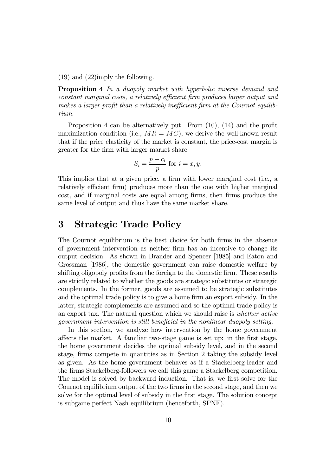(19) and (22)imply the following.

Proposition 4 In a duopoly market with hyperbolic inverse demand and constant marginal costs, a relatively efficient firm produces larger output and makes a larger profit than a relatively inefficient firm at the Cournot equilibrium.

Proposition 4 can be alternatively put. From (10), (14) and the profit maximization condition (i.e.,  $MR = MC$ ), we derive the well-known result that if the price elasticity of the market is constant, the price-cost margin is greater for the firm with larger market share

$$
S_i = \frac{p - c_i}{p}
$$
 for  $i = x, y$ .

This implies that at a given price, a firm with lower marginal cost (i.e., a relatively efficient firm) produces more than the one with higher marginal cost, and if marginal costs are equal among firms, then firms produce the same level of output and thus have the same market share.

### 3 Strategic Trade Policy

The Cournot equilibrium is the best choice for both firms in the absence of government intervention as neither firm has an incentive to change its output decision. As shown in Brander and Spencer [1985] and Eaton and Grossman [1986], the domestic government can raise domestic welfare by shifting oligopoly profits from the foreign to the domestic firm. These results are strictly related to whether the goods are strategic substitutes or strategic complements. In the former, goods are assumed to be strategic substitutes and the optimal trade policy is to give a home firm an export subsidy. In the latter, strategic complements are assumed and so the optimal trade policy is an export tax. The natural question which we should raise is whether active government intervention is still beneficial in the nonlinear duopoly setting.

In this section, we analyze how intervention by the home government affects the market. A familiar two-stage game is set up: in the first stage, the home government decides the optimal subsidy level, and in the second stage, firms compete in quantities as in Section 2 taking the subsidy level as given. As the home government behaves as if a Stackelberg-leader and the firms Stackelberg-followers we call this game a Stackelberg competition. The model is solved by backward induction. That is, we first solve for the Cournot equilibrium output of the two firms in the second stage, and then we solve for the optimal level of subsidy in the first stage. The solution concept is subgame perfect Nash equilibrium (henceforth, SPNE).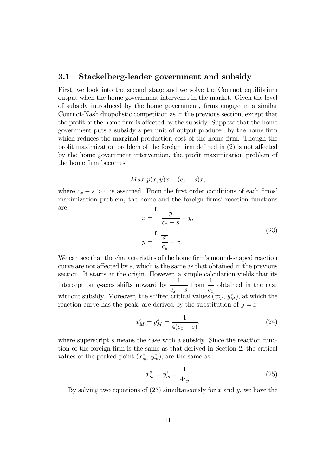### 3.1 Stackelberg-leader government and subsidy

First, we look into the second stage and we solve the Cournot equilibrium output when the home government intervenes in the market. Given the level of subsidy introduced by the home government, firms engage in a similar Cournot-Nash duopolistic competition as in the previous section, except that the profit of the home firm is affected by the subsidy. Suppose that the home government puts a subsidy s per unit of output produced by the home firm which reduces the marginal production cost of the home firm. Though the profit maximization problem of the foreign firm defined in (2) is not affected by the home government intervention, the profit maximization problem of the home firm becomes

$$
Max\ p(x,y)x-(c_x-s)x,
$$

where  $c_x - s > 0$  is assumed. From the first order conditions of each firms' maximization problem, the home and the foreign firms' reaction functions are

$$
x = \frac{y}{c_x - s} - y,
$$
  
\n
$$
y = \frac{r}{\frac{x}{c_y}} - x.
$$
\n(23)

We can see that the characteristics of the home firm's mound-shaped reaction curve are not affected by s, which is the same as that obtained in the previous section. It starts at the origin. However, a simple calculation yields that its intercept on y-axes shifts upward by  $\frac{1}{\sqrt{1}}$  $c_x - s$  $\frac{1}{\text{from}}$  $c_x$ obtained in the case without subsidy. Moreover, the shifted critical values  $(x_M^s, y_M^s)$ , at which the reaction curve has the peak, are derived by the substitution of  $y = x$ 

$$
x_M^s = y_M^s = \frac{1}{4(c_x - s)},\tag{24}
$$

where superscript s means the case with a subsidy. Since the reaction function of the foreign firm is the same as that derived in Section 2, the critical values of the peaked point  $(x_m^s, y_m^s)$ , are the same as

$$
x_m^s = y_m^s = \frac{1}{4c_y} \tag{25}
$$

By solving two equations of  $(23)$  simultaneously for x and y, we have the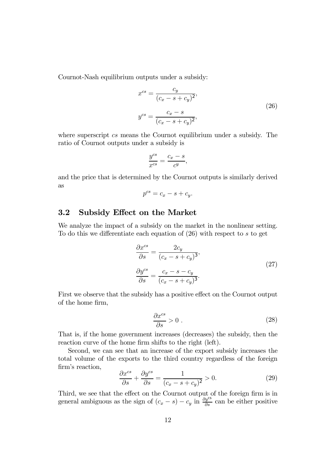Cournot-Nash equilibrium outputs under a subsidy:

$$
x^{cs} = \frac{c_y}{(c_x - s + c_y)^2},
$$
  

$$
y^{cs} = \frac{c_x - s}{(c_x - s + c_y)^2},
$$
\n(26)

where superscript cs means the Cournot equilibrium under a subsidy. The ratio of Cournot outputs under a subsidy is

$$
\frac{y^{cs}}{x^{cs}} = \frac{c_x - s}{c^y},
$$

and the price that is determined by the Cournot outputs is similarly derived as

$$
p^{cs} = c_x - s + c_y.
$$

### 3.2 Subsidy Effect on the Market

We analyze the impact of a subsidy on the market in the nonlinear setting. To do this we differentiate each equation of (26) with respect to s to get

$$
\frac{\partial x^{cs}}{\partial s} = \frac{2c_y}{(c_x - s + c_y)^3},
$$
  
\n
$$
\frac{\partial y^{cs}}{\partial s} = \frac{c_x - s - c_y}{(c_x - s + c_y)^3}.
$$
\n(27)

First we observe that the subsidy has a positive effect on the Cournot output of the home firm,

$$
\frac{\partial x^{cs}}{\partial s} > 0 \tag{28}
$$

That is, if the home government increases (decreases) the subsidy, then the reaction curve of the home firm shifts to the right (left).

Second, we can see that an increase of the export subsidy increases the total volume of the exports to the third country regardless of the foreign firm's reaction,

$$
\frac{\partial x^{cs}}{\partial s} + \frac{\partial y^{cs}}{\partial s} = \frac{1}{(c_x - s + c_y)^2} > 0.
$$
 (29)

Third, we see that the effect on the Cournot output of the foreign firm is in general ambiguous as the sign of  $(c_x - s) - c_y$  in  $\frac{\partial y^{\text{cs}}}{\partial s}$  can be either positive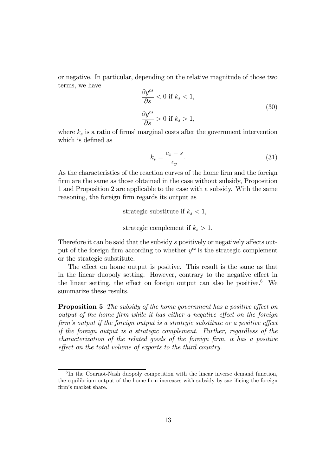or negative. In particular, depending on the relative magnitude of those two terms, we have

$$
\frac{\partial y^{cs}}{\partial s} < 0 \text{ if } k_s < 1,
$$
\n
$$
\frac{\partial y^{cs}}{\partial s} > 0 \text{ if } k_s > 1,
$$
\n
$$
(30)
$$

where  $k_s$  is a ratio of firms' marginal costs after the government intervention which is defined as

$$
k_s = \frac{c_x - s}{c_y}.\tag{31}
$$

As the characteristics of the reaction curves of the home firm and the foreign firm are the same as those obtained in the case without subsidy, Proposition 1 and Proposition 2 are applicable to the case with a subsidy. With the same reasoning, the foreign firm regards its output as

strategic substitute if  $k_s < 1$ ,

strategic complement if  $k_s > 1$ .

Therefore it can be said that the subsidy s positively or negatively affects output of the foreign firm according to whether  $y^{cs}$  is the strategic complement or the strategic substitute.

The effect on home output is positive. This result is the same as that in the linear duopoly setting. However, contrary to the negative effect in the linear setting, the effect on foreign output can also be positive.<sup>6</sup> We summarize these results.

**Proposition 5** The subsidy of the home government has a positive effect on output of the home firm while it has either a negative effect on the foreign firm's output if the foreign output is a strategic substitute or a positive effect if the foreign output is a strategic complement. Further, regardless of the characterization of the related goods of the foreign firm, it has a positive effect on the total volume of exports to the third country.

 ${}^{6}$ In the Cournot-Nash duopoly competition with the linear inverse demand function, the equilibrium output of the home firm increases with subsidy by sacrificing the foreign firm's market share.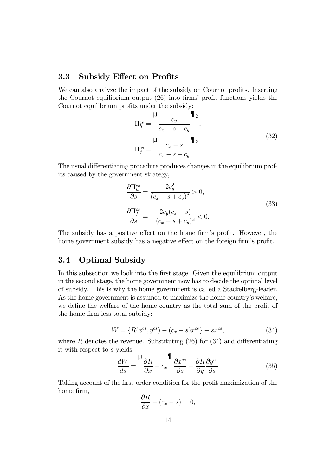### 3.3 Subsidy Effect on Profits

We can also analyze the impact of the subsidy on Cournot profits. Inserting the Cournot equilibrium output (26) into firms' profit functions yields the Cournot equilibrium profits under the subsidy:

$$
\Pi_h^{cs} = \frac{\mu}{c_x - s + c_y},
$$
\n
$$
\Pi_f^{cs} = \frac{\mu}{c_x - s + c_y} \Pi_2,
$$
\n
$$
\Pi_f^{cs} = \frac{c_x - s}{c_x - s + c_y}.
$$
\n(32)

The usual differentiating procedure produces changes in the equilibrium profits caused by the government strategy,

$$
\frac{\partial \Pi_h^{cs}}{\partial s} = \frac{2c_y^2}{(c_x - s + c_y)^3} > 0,
$$
\n
$$
\frac{\partial \Pi_f^{cs}}{\partial s} = -\frac{2c_y(c_x - s)}{(c_x - s + c_y)^3} < 0.
$$
\n(33)

The subsidy has a positive effect on the home firm's profit. However, the home government subsidy has a negative effect on the foreign firm's profit.

### 3.4 Optimal Subsidy

In this subsection we look into the first stage. Given the equilibrium output in the second stage, the home government now has to decide the optimal level of subsidy. This is why the home government is called a Stackelberg-leader. As the home government is assumed to maximize the home country's welfare, we define the welfare of the home country as the total sum of the profit of the home firm less total subsidy:

$$
W = \{ R(x^{cs}, y^{cs}) - (c_x - s)x^{cs} \} - sx^{cs},
$$
\n(34)

where R denotes the revenue. Substituting  $(26)$  for  $(34)$  and differentiating it with respect to s yields

$$
\frac{dW}{ds} = \frac{1}{2\pi} \frac{\partial R}{\partial x} - c_x \frac{1}{2\pi} \frac{\partial x^{cs}}{\partial s} + \frac{\partial R}{\partial y} \frac{\partial y^{cs}}{\partial s} \tag{35}
$$

Taking account of the first-order condition for the profit maximization of the home firm,

$$
\frac{\partial R}{\partial x} - (c_x - s) = 0,
$$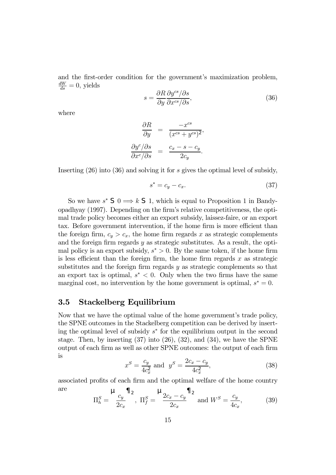and the first-order condition for the government's maximization problem,  $\frac{dW}{ds} = 0$ , yields

$$
s = \frac{\partial R}{\partial y} \frac{\partial y^{cs} / \partial s}{\partial x^{cs} / \partial s},\tag{36}
$$

where

$$
\frac{\partial R}{\partial y} = \frac{-x^{cs}}{(x^{cs} + y^{cs})^2},
$$

$$
\frac{\partial y^c/\partial s}{\partial x^c/\partial s} = \frac{c_x - s - c_y}{2c_y}.
$$

Inserting (26) into (36) and solving it for s gives the optimal level of subsidy,

$$
s^* = c_y - c_x. \tag{37}
$$

So we have  $s^*$  S  $0 \Longrightarrow k$  S 1, which is equal to Proposition 1 in Bandyopadhyay (1997). Depending on the firm's relative competitiveness, the optimal trade policy becomes either an export subsidy, laissez-faire, or an export tax. Before government intervention, if the home firm is more efficient than the foreign firm,  $c_y > c_x$ , the home firm regards x as strategic complements and the foreign firm regards  $y$  as strategic substitutes. As a result, the optimal policy is an export subsidy,  $s^* > 0$ . By the same token, if the home firm is less efficient than the foreign firm, the home firm regards  $x$  as strategic substitutes and the foreign firm regards y as strategic complements so that an export tax is optimal,  $s^* < 0$ . Only when the two firms have the same marginal cost, no intervention by the home government is optimal,  $s^* = 0$ .

#### 3.5 Stackelberg Equilibrium

Now that we have the optimal value of the home government's trade policy, the SPNE outcomes in the Stackelberg competition can be derived by inserting the optimal level of subsidy  $s^*$  for the equilibrium output in the second stage. Then, by inserting  $(37)$  into  $(26)$ ,  $(32)$ , and  $(34)$ , we have the SPNE output of each firm as well as other SPNE outcomes: the output of each firm is

$$
x^{S} = \frac{c_{y}}{4c_{x}^{2}} \text{ and } y^{S} = \frac{2c_{x} - c_{y}}{4c_{x}^{2}},
$$
\n(38)

associated profits of each firm and the optimal welfare of the home country are  $\ddot{\phantom{a}}$  $\blacksquare$  $\overline{11}$  $\blacksquare$ 

$$
\Pi_h^S = \frac{\mu_{c_y}}{2c_x}, \quad \Pi_f^S = \frac{\mu_{2c_x - c_y}}{2c_x} \quad \text{and } W^S = \frac{c_y}{4c_x}, \tag{39}
$$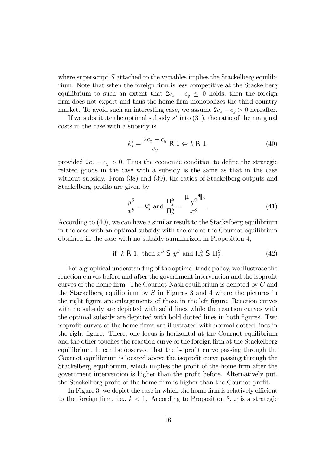where superscript  $S$  attached to the variables implies the Stackelberg equilibrium. Note that when the foreign firm is less competitive at the Stackelberg equilibrium to such an extent that  $2c_x - c_y \leq 0$  holds, then the foreign firm does not export and thus the home firm monopolizes the third country market. To avoid such an interesting case, we assume  $2c_x - c_y > 0$  hereafter.

If we substitute the optimal subsidy  $s^*$  into (31), the ratio of the marginal costs in the case with a subsidy is

$$
k_s^* = \frac{2c_x - c_y}{c_y} \text{ R1} \Leftrightarrow k \text{ R1}.
$$
 (40)

provided  $2c_x - c_y > 0$ . Thus the economic condition to define the strategic related goods in the case with a subsidy is the same as that in the case without subsidy. From  $(38)$  and  $(39)$ , the ratios of Stackelberg outputs and Stackelberg profits are given by

$$
\frac{y^S}{x^S} = k_s^* \text{ and } \frac{\Pi_f^S}{\Pi_h^S} = \frac{\mu_y s}{x^S}.
$$
\n(41)

According to (40), we can have a similar result to the Stackelberg equilibrium in the case with an optimal subsidy with the one at the Cournot equilibrium obtained in the case with no subsidy summarized in Proposition 4,

if 
$$
k \mathsf{R} 1
$$
, then  $x^S \mathsf{S} y^S$  and  $\Pi_h^S \mathsf{S} \Pi_f^S$ . (42)

For a graphical understanding of the optimal trade policy, we illustrate the reaction curves before and after the government intervention and the isoprofit curves of the home firm. The Cournot-Nash equilibrium is denoted by C and the Stackelberg equilibrium by  $S$  in Figures 3 and 4 where the pictures in the right figure are enlargements of those in the left figure. Reaction curves with no subsidy are depicted with solid lines while the reaction curves with the optimal subsidy are depicted with bold dotted lines in both figures. Two isoprofit curves of the home firms are illustrated with normal dotted lines in the right figure. There, one locus is horizontal at the Cournot equilibrium and the other touches the reaction curve of the foreign firm at the Stackelberg equilibrium. It can be observed that the isoprofit curve passing through the Cournot equilibrium is located above the isoprofit curve passing through the Stackelberg equilibrium, which implies the profit of the home firm after the government intervention is higher than the profit before. Alternatively put, the Stackelberg profit of the home firm is higher than the Cournot profit.

In Figure 3, we depict the case in which the home firm is relatively efficient to the foreign firm, i.e.,  $k < 1$ . According to Proposition 3, x is a strategic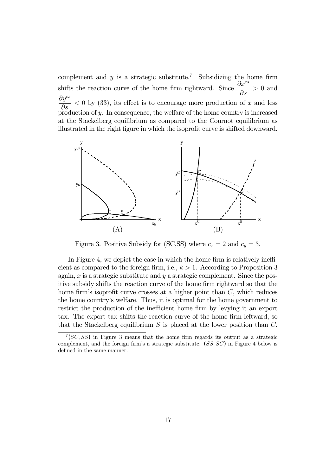complement and  $y$  is a strategic substitute.<sup>7</sup> Subsidizing the home firm shifts the reaction curve of the home firm rightward. Since  $\frac{\partial x^{cs}}{\partial x^{cs}}$ ∂s > 0 and  $\partial y^{cs}$ ∂s  $<$  0 by (33), its effect is to encourage more production of x and less production of  $y$ . In consequence, the welfare of the home country is increased at the Stackelberg equilibrium as compared to the Cournot equilibrium as illustrated in the right figure in which the isoprofit curve is shifted downward.



Figure 3. Positive Subsidy for (SC,SS) where  $c_x = 2$  and  $c_y = 3$ .

In Figure 4, we depict the case in which the home firm is relatively inefficient as compared to the foreign firm, i.e.,  $k > 1$ . According to Proposition 3 again,  $x$  is a strategic substitute and  $y$  a strategic complement. Since the positive subsidy shifts the reaction curve of the home firm rightward so that the home firm's isoprofit curve crosses at a higher point than  $C$ , which reduces the home country's welfare. Thus, it is optimal for the home government to restrict the production of the inefficient home firm by levying it an export tax. The export tax shifts the reaction curve of the home firm leftward, so that the Stackelberg equilibrium  $S$  is placed at the lower position than  $C$ .

 $7 (SC, SS)$  in Figure 3 means that the home firm regards its output as a strategic complement, and the foreign firm's a strategic substitute.  $(SS, SC)$  in Figure 4 below is defined in the same manner.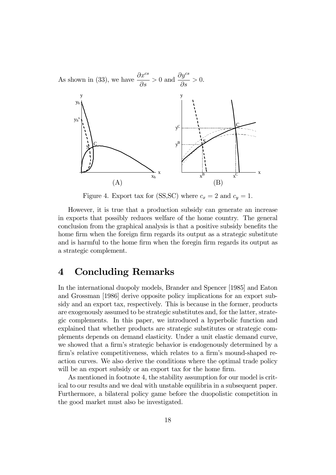

Figure 4. Export tax for (SS,SC) where  $c_x = 2$  and  $c_y = 1$ .

However, it is true that a production subsidy can generate an increase in exports that possibly reduces welfare of the home country. The general conclusion from the graphical analysis is that a positive subsidy benefits the home firm when the foreign firm regards its output as a strategic substitute and is harmful to the home firm when the foregin firm regards its output as a strategic complement.

### 4 Concluding Remarks

In the international duopoly models, Brander and Spencer [1985] and Eaton and Grossman [1986] derive opposite policy implications for an export subsidy and an export tax, respectively. This is because in the former, products are exogenously assumed to be strategic substitutes and, for the latter, strategic complements. In this paper, we introduced a hyperbolic function and explained that whether products are strategic substitutes or strategic complements depends on demand elasticity. Under a unit elastic demand curve, we showed that a firm's strategic behavior is endogenously determined by a firm's relative competitiveness, which relates to a firm's mound-shaped reaction curves. We also derive the conditions where the optimal trade policy will be an export subsidy or an export tax for the home firm.

As mentioned in footnote 4, the stability assumption for our model is critical to our results and we deal with unstable equilibria in a subsequent paper. Furthermore, a bilateral policy game before the duopolistic competition in the good market must also be investigated.